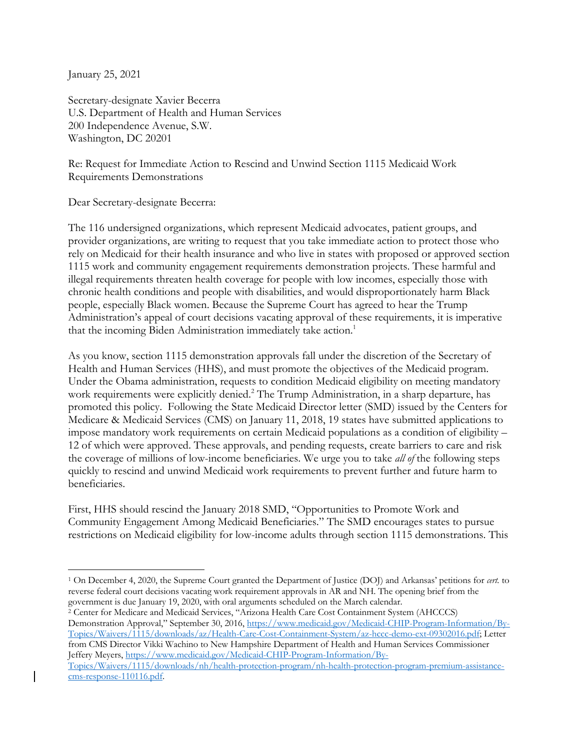January 25, 2021

Secretary-designate Xavier Becerra U.S. Department of Health and Human Services 200 Independence Avenue, S.W. Washington, DC 20201

Re: Request for Immediate Action to Rescind and Unwind Section 1115 Medicaid Work Requirements Demonstrations

Dear Secretary-designate Becerra:

The 116 undersigned organizations, which represent Medicaid advocates, patient groups, and provider organizations, are writing to request that you take immediate action to protect those who rely on Medicaid for their health insurance and who live in states with proposed or approved section 1115 work and community engagement requirements demonstration projects. These harmful and illegal requirements threaten health coverage for people with low incomes, especially those with chronic health conditions and people with disabilities, and would disproportionately harm Black people, especially Black women. Because the Supreme Court has agreed to hear the Trump Administration's appeal of court decisions vacating approval of these requirements, it is imperative that the incoming Biden Administration immediately take action.<sup>1</sup>

As you know, section 1115 demonstration approvals fall under the discretion of the Secretary of Health and Human Services (HHS), and must promote the objectives of the Medicaid program. Under the Obama administration, requests to condition Medicaid eligibility on meeting mandatory work requirements were explicitly denied. <sup>2</sup> The Trump Administration, in a sharp departure, has promoted this policy. Following the State Medicaid Director letter (SMD) issued by the Centers for Medicare & Medicaid Services (CMS) on January 11, 2018, 19 states have submitted applications to impose mandatory work requirements on certain Medicaid populations as a condition of eligibility – 12 of which were approved. These approvals, and pending requests, create barriers to care and risk the coverage of millions of low-income beneficiaries. We urge you to take *all of* the following steps quickly to rescind and unwind Medicaid work requirements to prevent further and future harm to beneficiaries.

First, HHS should rescind the January 2018 SMD, "Opportunities to Promote Work and Community Engagement Among Medicaid Beneficiaries." The SMD encourages states to pursue restrictions on Medicaid eligibility for low-income adults through section 1115 demonstrations. This

Demonstration Approval," September 30, 2016, https://www.medicaid.gov/Medicaid-CHIP-Program-Information/By-Topics/Waivers/1115/downloads/az/Health-Care-Cost-Containment-System/az-hccc-demo-ext-09302016.pdf; Letter from CMS Director Vikki Wachino to New Hampshire Department of Health and Human Services Commissioner Jeffery Meyers, https://www.medicaid.gov/Medicaid-CHIP-Program-Information/By-

Topics/Waivers/1115/downloads/nh/health-protection-program/nh-health-protection-program-premium-assistancecms-response-110116.pdf.

<sup>1</sup> On December 4, 2020, the Supreme Court granted the Department of Justice (DOJ) and Arkansas' petitions for *cert.* to reverse federal court decisions vacating work requirement approvals in AR and NH. The opening brief from the government is due January 19, 2020, with oral arguments scheduled on the March calendar. 2 Center for Medicare and Medicaid Services, "Arizona Health Care Cost Containment System (AHCCCS)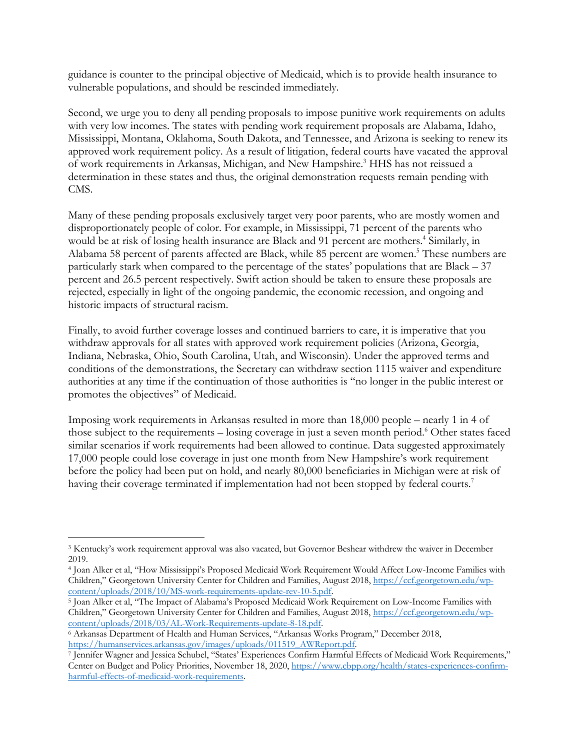guidance is counter to the principal objective of Medicaid, which is to provide health insurance to vulnerable populations, and should be rescinded immediately.

Second, we urge you to deny all pending proposals to impose punitive work requirements on adults with very low incomes. The states with pending work requirement proposals are Alabama, Idaho, Mississippi, Montana, Oklahoma, South Dakota, and Tennessee, and Arizona is seeking to renew its approved work requirement policy. As a result of litigation, federal courts have vacated the approval of work requirements in Arkansas, Michigan, and New Hampshire.<sup>3</sup> HHS has not reissued a determination in these states and thus, the original demonstration requests remain pending with CMS.

Many of these pending proposals exclusively target very poor parents, who are mostly women and disproportionately people of color. For example, in Mississippi, 71 percent of the parents who would be at risk of losing health insurance are Black and 91 percent are mothers. <sup>4</sup> Similarly, in Alabama 58 percent of parents affected are Black, while 85 percent are women.<sup>5</sup> These numbers are particularly stark when compared to the percentage of the states' populations that are Black – 37 percent and 26.5 percent respectively. Swift action should be taken to ensure these proposals are rejected, especially in light of the ongoing pandemic, the economic recession, and ongoing and historic impacts of structural racism.

Finally, to avoid further coverage losses and continued barriers to care, it is imperative that you withdraw approvals for all states with approved work requirement policies (Arizona, Georgia, Indiana, Nebraska, Ohio, South Carolina, Utah, and Wisconsin). Under the approved terms and conditions of the demonstrations, the Secretary can withdraw section 1115 waiver and expenditure authorities at any time if the continuation of those authorities is "no longer in the public interest or promotes the objectives" of Medicaid.

Imposing work requirements in Arkansas resulted in more than 18,000 people – nearly 1 in 4 of those subject to the requirements – losing coverage in just a seven month period.<sup>6</sup> Other states faced similar scenarios if work requirements had been allowed to continue. Data suggested approximately 17,000 people could lose coverage in just one month from New Hampshire's work requirement before the policy had been put on hold, and nearly 80,000 beneficiaries in Michigan were at risk of having their coverage terminated if implementation had not been stopped by federal courts.<sup>7</sup>

<sup>3</sup> Kentucky's work requirement approval was also vacated, but Governor Beshear withdrew the waiver in December 2019.

<sup>4</sup> Joan Alker et al, "How Mississippi's Proposed Medicaid Work Requirement Would Affect Low-Income Families with Children," Georgetown University Center for Children and Families, August 2018, https://ccf.georgetown.edu/wp-<br>content/uploads/2018/10/MS-work-requirements-update-rev-10-5.pdf.

<sup>&</sup>lt;sup>5</sup> Joan Alker et al, "The Impact of Alabama's Proposed Medicaid Work Requirement on Low-Income Families with Children," Georgetown University Center for Children and Families, August 2018, https://ccf.georgetown.edu/wp-

content/uploads/2018/03/AL-Work-Requirements-update-8-18.pdf.<br>
6 Arkansas Department of Health and Human Services, "Arkansas Works Program," December 2018,<br>
https://humanservices.arkansas.gov/images/uploads/011519\_AWReport

<sup>&</sup>lt;sup>7</sup> Jennifer Wagner and Jessica Schubel, "States' Experiences Confirm Harmful Effects of Medicaid Work Requirements," Center on Budget and Policy Priorities, November 18, 2020, https://www.cbpp.org/health/states-experiences-confirmharmful-effects-of-medicaid-work-requirements.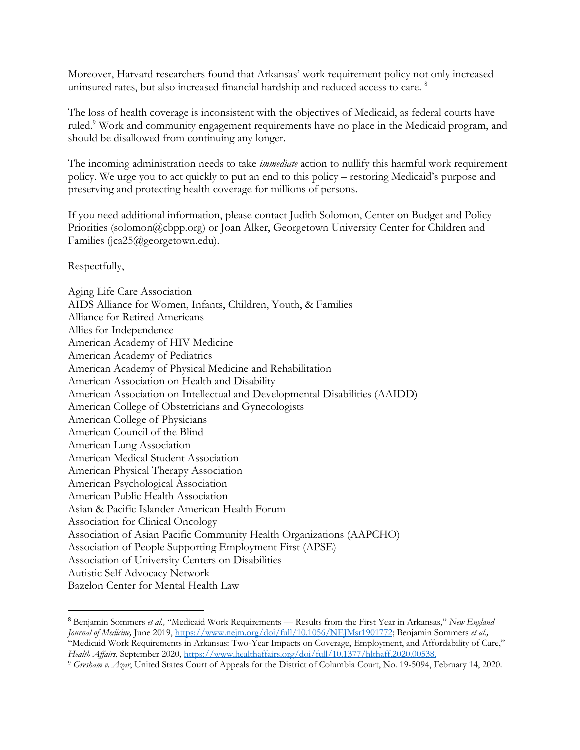Moreover, Harvard researchers found that Arkansas' work requirement policy not only increased uninsured rates, but also increased financial hardship and reduced access to care.<sup>8</sup>

The loss of health coverage is inconsistent with the objectives of Medicaid, as federal courts have ruled.<sup>9</sup> Work and community engagement requirements have no place in the Medicaid program, and should be disallowed from continuing any longer.

The incoming administration needs to take *immediate* action to nullify this harmful work requirement policy. We urge you to act quickly to put an end to this policy – restoring Medicaid's purpose and preserving and protecting health coverage for millions of persons.

If you need additional information, please contact Judith Solomon, Center on Budget and Policy Priorities (solomon@cbpp.org) or Joan Alker, Georgetown University Center for Children and Families (jca25@georgetown.edu).

Respectfully,

Aging Life Care Association AIDS Alliance for Women, Infants, Children, Youth, & Families Alliance for Retired Americans Allies for Independence American Academy of HIV Medicine American Academy of Pediatrics American Academy of Physical Medicine and Rehabilitation American Association on Health and Disability American Association on Intellectual and Developmental Disabilities (AAIDD) American College of Obstetricians and Gynecologists American College of Physicians American Council of the Blind American Lung Association American Medical Student Association American Physical Therapy Association American Psychological Association American Public Health Association Asian & Pacific Islander American Health Forum Association for Clinical Oncology Association of Asian Pacific Community Health Organizations (AAPCHO) Association of People Supporting Employment First (APSE) Association of University Centers on Disabilities Autistic Self Advocacy Network Bazelon Center for Mental Health Law

<sup>8</sup> Benjamin Sommers *et al.,* "Medicaid Work Requirements — Results from the First Year in Arkansas," *New England Journal of Medicine,* June 2019, https://www.nejm.org/doi/full/10.1056/NEJMsr1901772; Benjamin Sommers *et al.,*  "Medicaid Work Requirements in Arkansas: Two-Year Impacts on Coverage, Employment, and Affordability of Care," *Health Affairs*, September 2020, https://www.healthaffairs.org/doi/full/10.1377/hlthaff.2020.00538.

<sup>9</sup> *Gresham v. Azar*, United States Court of Appeals for the District of Columbia Court, No. 19-5094, February 14, 2020.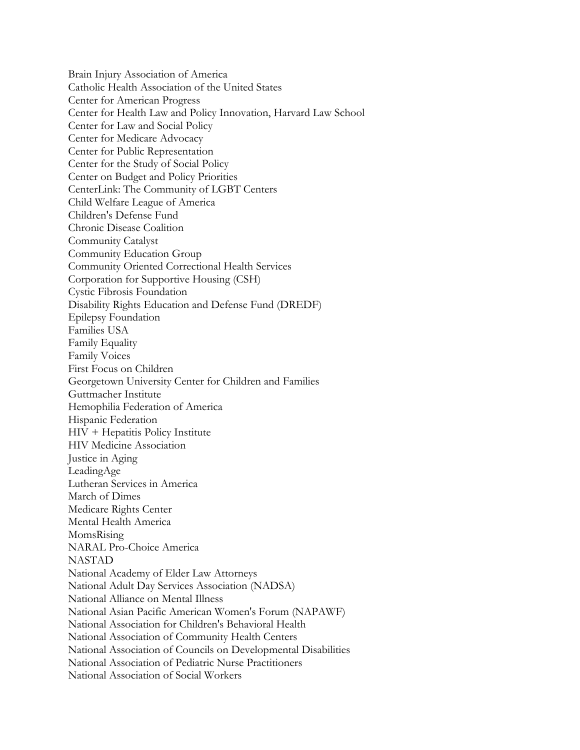Brain Injury Association of America Catholic Health Association of the United States Center for American Progress Center for Health Law and Policy Innovation, Harvard Law School Center for Law and Social Policy Center for Medicare Advocacy Center for Public Representation Center for the Study of Social Policy Center on Budget and Policy Priorities CenterLink: The Community of LGBT Centers Child Welfare League of America Children's Defense Fund Chronic Disease Coalition Community Catalyst Community Education Group Community Oriented Correctional Health Services Corporation for Supportive Housing (CSH) Cystic Fibrosis Foundation Disability Rights Education and Defense Fund (DREDF) Epilepsy Foundation Families USA Family Equality Family Voices First Focus on Children Georgetown University Center for Children and Families Guttmacher Institute Hemophilia Federation of America Hispanic Federation HIV + Hepatitis Policy Institute HIV Medicine Association Justice in Aging LeadingAge Lutheran Services in America March of Dimes Medicare Rights Center Mental Health America MomsRising NARAL Pro-Choice America NASTAD National Academy of Elder Law Attorneys National Adult Day Services Association (NADSA) National Alliance on Mental Illness National Asian Pacific American Women's Forum (NAPAWF) National Association for Children's Behavioral Health National Association of Community Health Centers National Association of Councils on Developmental Disabilities National Association of Pediatric Nurse Practitioners National Association of Social Workers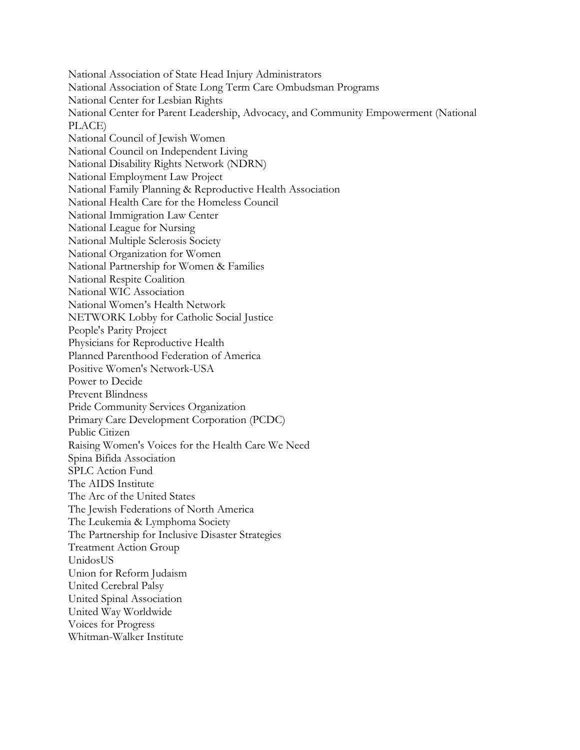National Association of State Head Injury Administrators National Association of State Long Term Care Ombudsman Programs National Center for Lesbian Rights National Center for Parent Leadership, Advocacy, and Community Empowerment (National PLACE) National Council of Jewish Women National Council on Independent Living National Disability Rights Network (NDRN) National Employment Law Project National Family Planning & Reproductive Health Association National Health Care for the Homeless Council National Immigration Law Center National League for Nursing National Multiple Sclerosis Society National Organization for Women National Partnership for Women & Families National Respite Coalition National WIC Association National Women's Health Network NETWORK Lobby for Catholic Social Justice People's Parity Project Physicians for Reproductive Health Planned Parenthood Federation of America Positive Women's Network-USA Power to Decide Prevent Blindness Pride Community Services Organization Primary Care Development Corporation (PCDC) Public Citizen Raising Women's Voices for the Health Care We Need Spina Bifida Association SPLC Action Fund The AIDS Institute The Arc of the United States The Jewish Federations of North America The Leukemia & Lymphoma Society The Partnership for Inclusive Disaster Strategies Treatment Action Group UnidosUS Union for Reform Judaism United Cerebral Palsy United Spinal Association United Way Worldwide Voices for Progress Whitman-Walker Institute